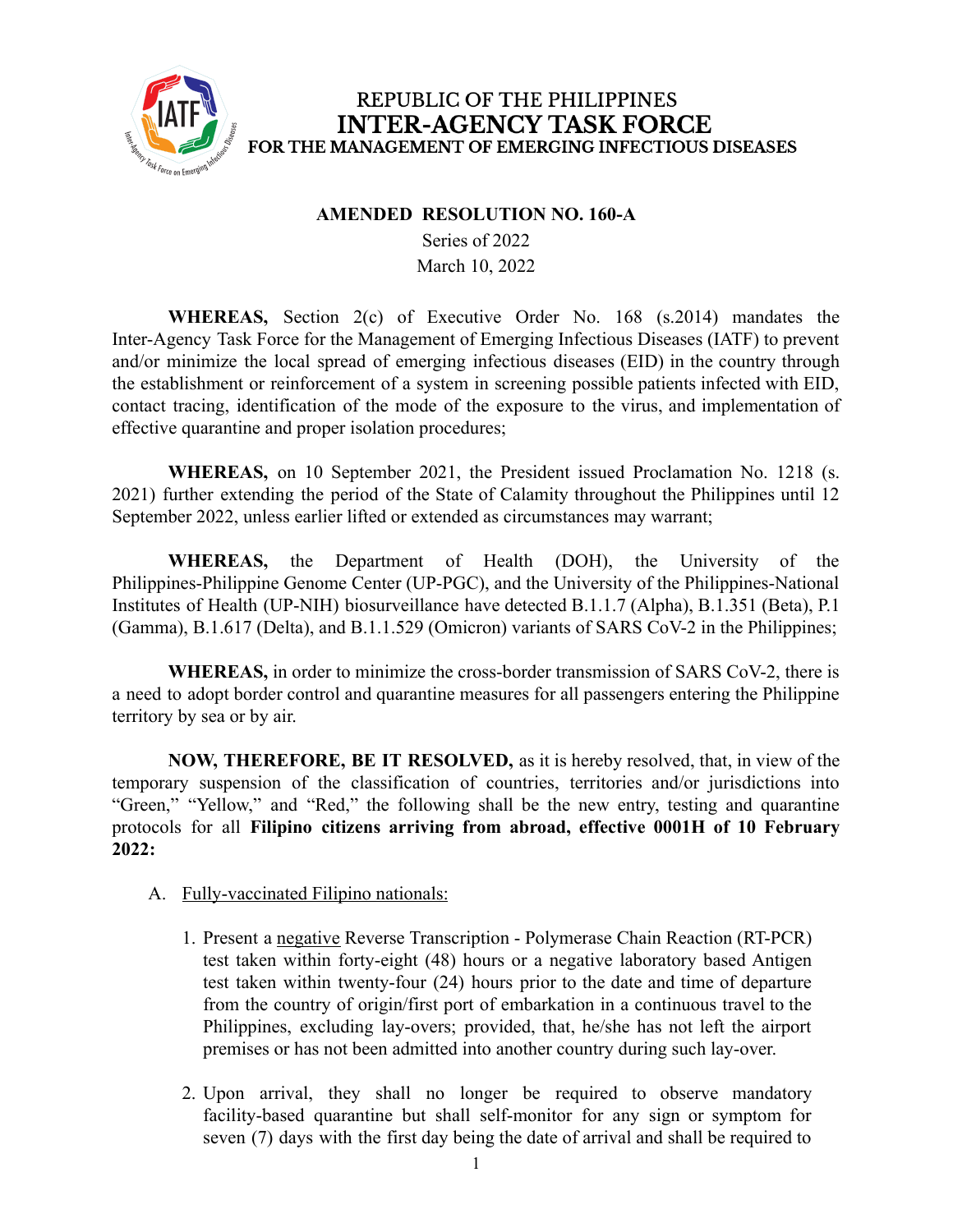

#### **AMENDED RESOLUTION NO. 160-A**

Series of 2022 March 10, 2022

**WHEREAS,** Section 2(c) of Executive Order No. 168 (s.2014) mandates the Inter-Agency Task Force for the Management of Emerging Infectious Diseases (IATF) to prevent and/or minimize the local spread of emerging infectious diseases (EID) in the country through the establishment or reinforcement of a system in screening possible patients infected with EID, contact tracing, identification of the mode of the exposure to the virus, and implementation of effective quarantine and proper isolation procedures;

**WHEREAS,** on 10 September 2021, the President issued Proclamation No. 1218 (s. 2021) further extending the period of the State of Calamity throughout the Philippines until 12 September 2022, unless earlier lifted or extended as circumstances may warrant;

**WHEREAS,** the Department of Health (DOH), the University of the Philippines-Philippine Genome Center (UP-PGC), and the University of the Philippines-National Institutes of Health (UP-NIH) biosurveillance have detected B.1.1.7 (Alpha), B.1.351 (Beta), P.1 (Gamma), B.1.617 (Delta), and B.1.1.529 (Omicron) variants of SARS CoV-2 in the Philippines;

**WHEREAS,** in order to minimize the cross-border transmission of SARS CoV-2, there is a need to adopt border control and quarantine measures for all passengers entering the Philippine territory by sea or by air.

**NOW, THEREFORE, BE IT RESOLVED,** as it is hereby resolved, that, in view of the temporary suspension of the classification of countries, territories and/or jurisdictions into "Green," "Yellow," and "Red," the following shall be the new entry, testing and quarantine protocols for all **Filipino citizens arriving from abroad, effective 0001H of 10 February 2022:**

- A. Fully-vaccinated Filipino nationals:
	- 1. Present a negative Reverse Transcription Polymerase Chain Reaction (RT-PCR) test taken within forty-eight (48) hours or a negative laboratory based Antigen test taken within twenty-four (24) hours prior to the date and time of departure from the country of origin/first port of embarkation in a continuous travel to the Philippines, excluding lay-overs; provided, that, he/she has not left the airport premises or has not been admitted into another country during such lay-over.
	- 2. Upon arrival, they shall no longer be required to observe mandatory facility-based quarantine but shall self-monitor for any sign or symptom for seven (7) days with the first day being the date of arrival and shall be required to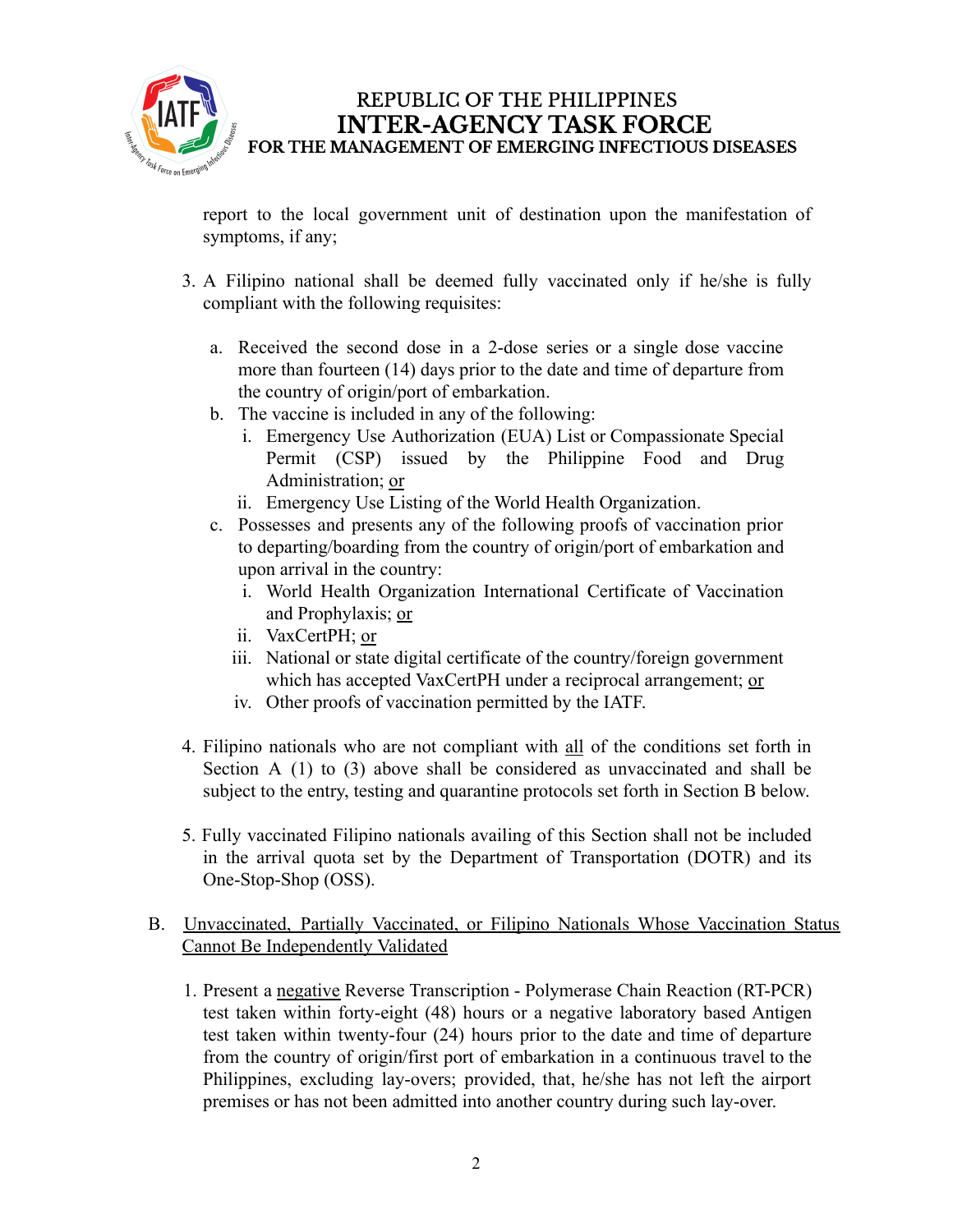

report to the local government unit of destination upon the manifestation of symptoms, if any;

- 3. A Filipino national shall be deemed fully vaccinated only if he/she is fully compliant with the following requisites:
	- a. Received the second dose in a 2-dose series or a single dose vaccine more than fourteen (14) days prior to the date and time of departure from the country of origin/port of embarkation.
	- b. The vaccine is included in any of the following:
		- i. Emergency Use Authorization (EUA) List or Compassionate Special Permit (CSP) issued by the Philippine Food and Drug Administration; or
		- ii. Emergency Use Listing of the World Health Organization.
	- c. Possesses and presents any of the following proofs of vaccination prior to departing/boarding from the country of origin/port of embarkation and upon arrival in the country:
		- i. World Health Organization International Certificate of Vaccination and Prophylaxis; or
		- ii. VaxCertPH; or
		- iii. National or state digital certificate of the country/foreign government which has accepted VaxCertPH under a reciprocal arrangement; or
		- iv. Other proofs of vaccination permitted by the IATF.
- 4. Filipino nationals who are not compliant with all of the conditions set forth in Section A (1) to (3) above shall be considered as unvaccinated and shall be subject to the entry, testing and quarantine protocols set forth in Section B below.
- 5. Fully vaccinated Filipino nationals availing of this Section shall not be included in the arrival quota set by the Department of Transportation (DOTR) and its One-Stop-Shop (OSS).

### B. Unvaccinated, Partially Vaccinated, or Filipino Nationals Whose Vaccination Status Cannot Be Independently Validated

1. Present a negative Reverse Transcription - Polymerase Chain Reaction (RT-PCR) test taken within forty-eight (48) hours or a negative laboratory based Antigen test taken within twenty-four (24) hours prior to the date and time of departure from the country of origin/first port of embarkation in a continuous travel to the Philippines, excluding lay-overs; provided, that, he/she has not left the airport premises or has not been admitted into another country during such lay-over.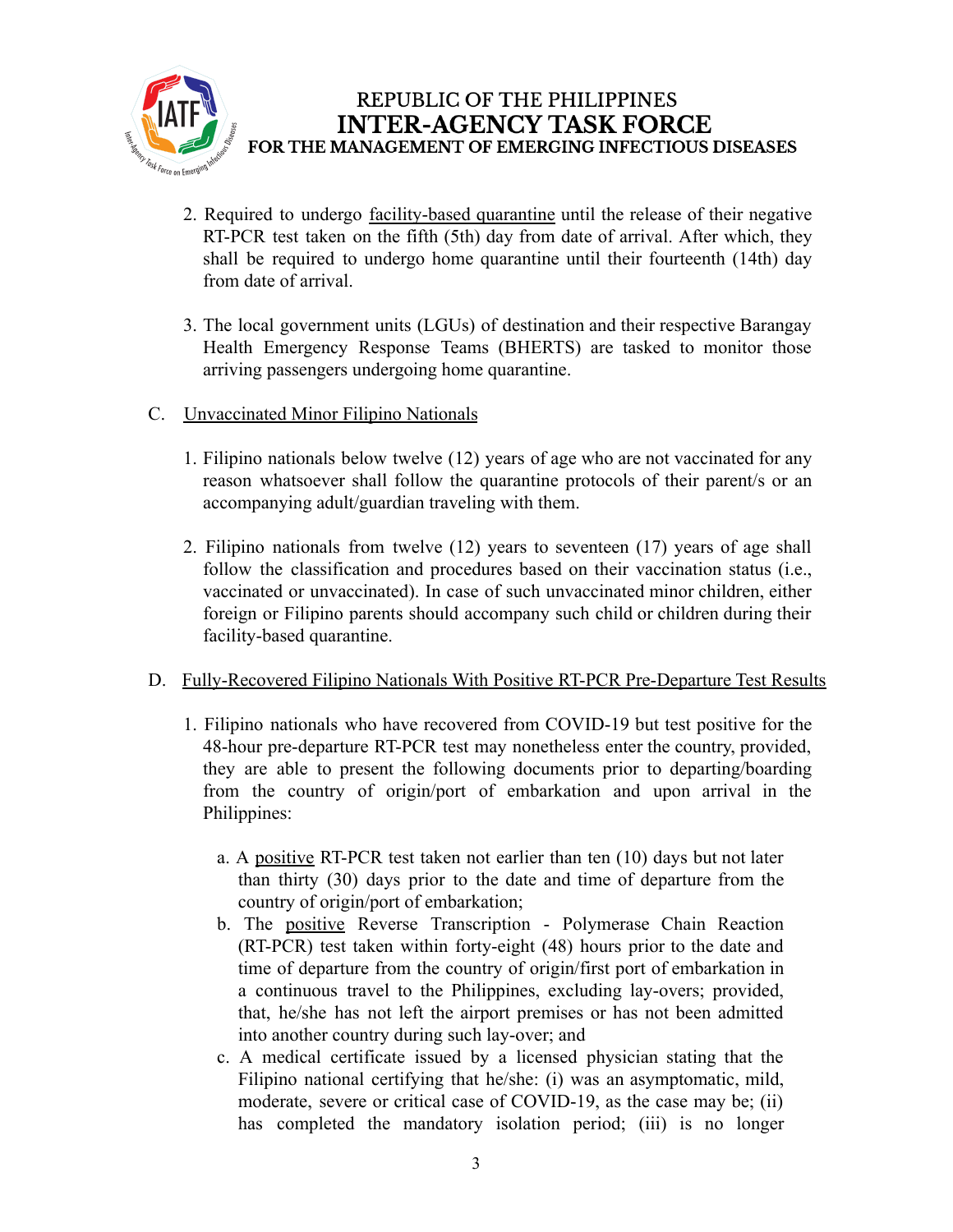

- 2. Required to undergo facility-based quarantine until the release of their negative RT-PCR test taken on the fifth (5th) day from date of arrival. After which, they shall be required to undergo home quarantine until their fourteenth (14th) day from date of arrival.
- 3. The local government units (LGUs) of destination and their respective Barangay Health Emergency Response Teams (BHERTS) are tasked to monitor those arriving passengers undergoing home quarantine.
- C. Unvaccinated Minor Filipino Nationals
	- 1. Filipino nationals below twelve (12) years of age who are not vaccinated for any reason whatsoever shall follow the quarantine protocols of their parent/s or an accompanying adult/guardian traveling with them.
	- 2. Filipino nationals from twelve (12) years to seventeen (17) years of age shall follow the classification and procedures based on their vaccination status (i.e., vaccinated or unvaccinated). In case of such unvaccinated minor children, either foreign or Filipino parents should accompany such child or children during their facility-based quarantine.

#### D. Fully-Recovered Filipino Nationals With Positive RT-PCR Pre-Departure Test Results

- 1. Filipino nationals who have recovered from COVID-19 but test positive for the 48-hour pre-departure RT-PCR test may nonetheless enter the country, provided, they are able to present the following documents prior to departing/boarding from the country of origin/port of embarkation and upon arrival in the Philippines:
	- a. A positive RT-PCR test taken not earlier than ten (10) days but not later than thirty (30) days prior to the date and time of departure from the country of origin/port of embarkation;
	- b. The positive Reverse Transcription Polymerase Chain Reaction (RT-PCR) test taken within forty-eight (48) hours prior to the date and time of departure from the country of origin/first port of embarkation in a continuous travel to the Philippines, excluding lay-overs; provided, that, he/she has not left the airport premises or has not been admitted into another country during such lay-over; and
	- c. A medical certificate issued by a licensed physician stating that the Filipino national certifying that he/she: (i) was an asymptomatic, mild, moderate, severe or critical case of COVID-19, as the case may be; (ii) has completed the mandatory isolation period; (iii) is no longer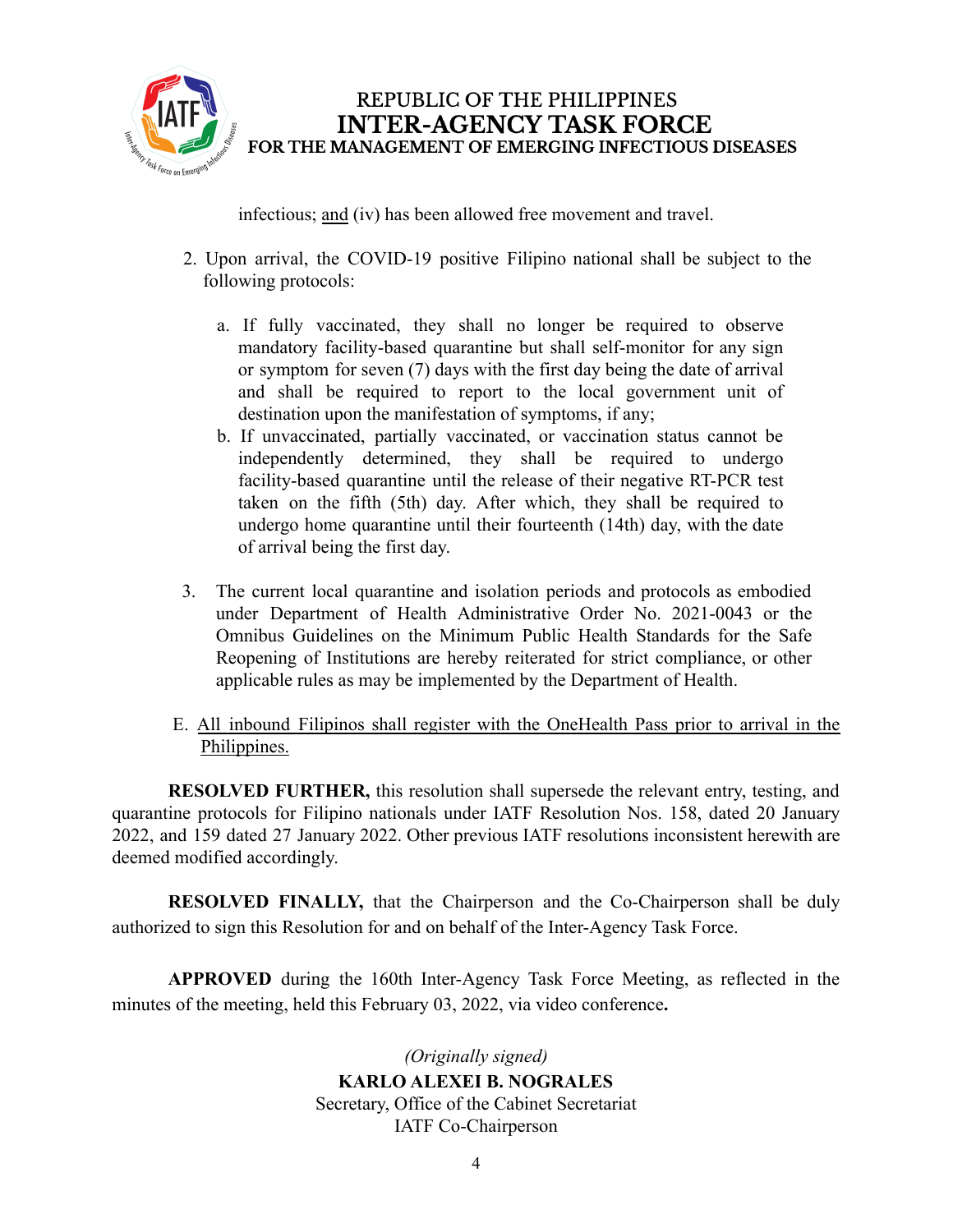

infectious; and (iv) has been allowed free movement and travel.

- 2. Upon arrival, the COVID-19 positive Filipino national shall be subject to the following protocols:
	- a. If fully vaccinated, they shall no longer be required to observe mandatory facility-based quarantine but shall self-monitor for any sign or symptom for seven (7) days with the first day being the date of arrival and shall be required to report to the local government unit of destination upon the manifestation of symptoms, if any;
	- b. If unvaccinated, partially vaccinated, or vaccination status cannot be independently determined, they shall be required to undergo facility-based quarantine until the release of their negative RT-PCR test taken on the fifth (5th) day. After which, they shall be required to undergo home quarantine until their fourteenth (14th) day, with the date of arrival being the first day.
- 3. The current local quarantine and isolation periods and protocols as embodied under Department of Health Administrative Order No. 2021-0043 or the Omnibus Guidelines on the Minimum Public Health Standards for the Safe Reopening of Institutions are hereby reiterated for strict compliance, or other applicable rules as may be implemented by the Department of Health.
- E. All inbound Filipinos shall register with the OneHealth Pass prior to arrival in the Philippines.

**RESOLVED FURTHER,** this resolution shall supersede the relevant entry, testing, and quarantine protocols for Filipino nationals under IATF Resolution Nos. 158, dated 20 January 2022, and 159 dated 27 January 2022. Other previous IATF resolutions inconsistent herewith are deemed modified accordingly.

**RESOLVED FINALLY,** that the Chairperson and the Co-Chairperson shall be duly authorized to sign this Resolution for and on behalf of the Inter-Agency Task Force.

**APPROVED** during the 160th Inter-Agency Task Force Meeting, as reflected in the minutes of the meeting, held this February 03, 2022, via video conference**.**

> *(Originally signed)* **KARLO ALEXEI B. NOGRALES** Secretary, Office of the Cabinet Secretariat IATF Co-Chairperson